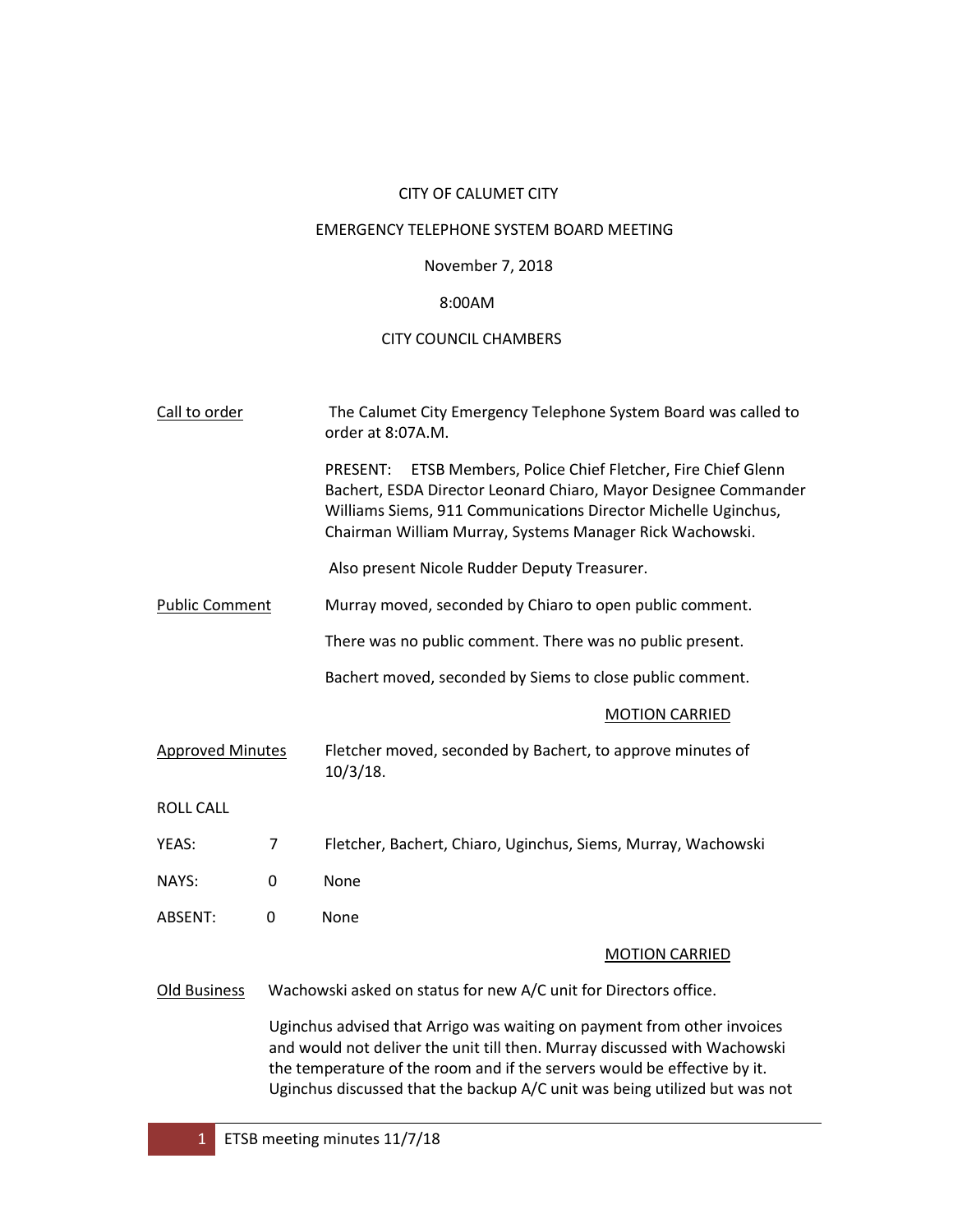## CITY OF CALUMET CITY

# EMERGENCY TELEPHONE SYSTEM BOARD MEETING

## November 7, 2018

### 8:00AM

## CITY COUNCIL CHAMBERS

| Call to order           |                                                                                                                                                                                                                                                                                                                | The Calumet City Emergency Telephone System Board was called to<br>order at 8:07A.M.                                                                                                                                                                               |  |  |
|-------------------------|----------------------------------------------------------------------------------------------------------------------------------------------------------------------------------------------------------------------------------------------------------------------------------------------------------------|--------------------------------------------------------------------------------------------------------------------------------------------------------------------------------------------------------------------------------------------------------------------|--|--|
|                         |                                                                                                                                                                                                                                                                                                                | PRESENT:<br>ETSB Members, Police Chief Fletcher, Fire Chief Glenn<br>Bachert, ESDA Director Leonard Chiaro, Mayor Designee Commander<br>Williams Siems, 911 Communications Director Michelle Uginchus,<br>Chairman William Murray, Systems Manager Rick Wachowski. |  |  |
|                         |                                                                                                                                                                                                                                                                                                                | Also present Nicole Rudder Deputy Treasurer.                                                                                                                                                                                                                       |  |  |
| <b>Public Comment</b>   |                                                                                                                                                                                                                                                                                                                | Murray moved, seconded by Chiaro to open public comment.                                                                                                                                                                                                           |  |  |
|                         |                                                                                                                                                                                                                                                                                                                | There was no public comment. There was no public present.                                                                                                                                                                                                          |  |  |
|                         |                                                                                                                                                                                                                                                                                                                | Bachert moved, seconded by Siems to close public comment.                                                                                                                                                                                                          |  |  |
|                         |                                                                                                                                                                                                                                                                                                                | <b>MOTION CARRIED</b>                                                                                                                                                                                                                                              |  |  |
| <b>Approved Minutes</b> |                                                                                                                                                                                                                                                                                                                | Fletcher moved, seconded by Bachert, to approve minutes of<br>10/3/18.                                                                                                                                                                                             |  |  |
| <b>ROLL CALL</b>        |                                                                                                                                                                                                                                                                                                                |                                                                                                                                                                                                                                                                    |  |  |
| YEAS:                   | 7                                                                                                                                                                                                                                                                                                              | Fletcher, Bachert, Chiaro, Uginchus, Siems, Murray, Wachowski                                                                                                                                                                                                      |  |  |
| NAYS:                   | $\Omega$                                                                                                                                                                                                                                                                                                       | None                                                                                                                                                                                                                                                               |  |  |
| <b>ABSENT:</b>          | $\mathbf 0$                                                                                                                                                                                                                                                                                                    | None                                                                                                                                                                                                                                                               |  |  |
|                         |                                                                                                                                                                                                                                                                                                                | <b>MOTION CARRIED</b>                                                                                                                                                                                                                                              |  |  |
| Old Business            | Wachowski asked on status for new A/C unit for Directors office.                                                                                                                                                                                                                                               |                                                                                                                                                                                                                                                                    |  |  |
|                         | Uginchus advised that Arrigo was waiting on payment from other invoices<br>and would not deliver the unit till then. Murray discussed with Wachowski<br>the temperature of the room and if the servers would be effective by it.<br>Uginchus discussed that the backup A/C unit was being utilized but was not |                                                                                                                                                                                                                                                                    |  |  |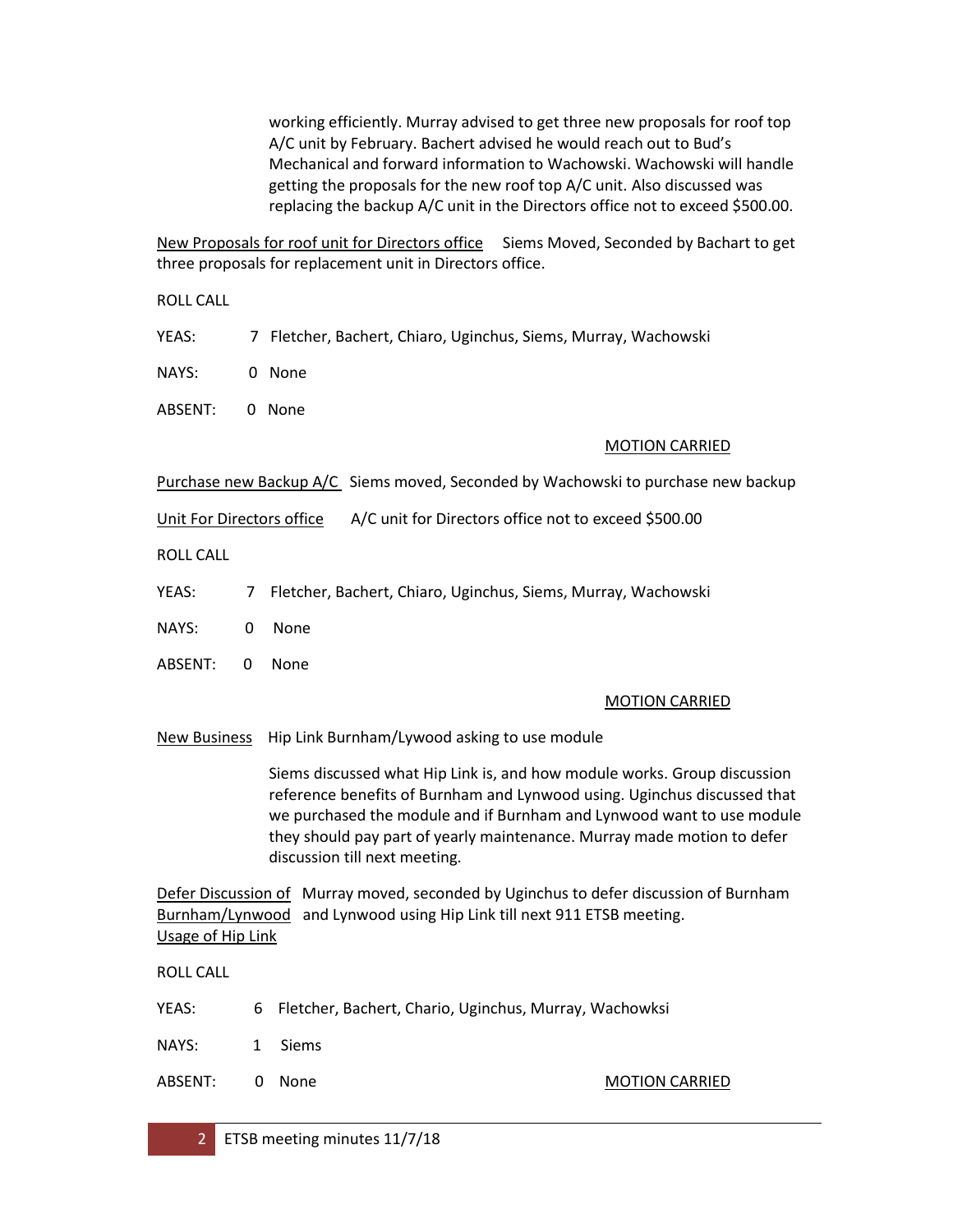working efficiently. Murray advised to get three new proposals for roof top A/C unit by February. Bachert advised he would reach out to Bud's Mechanical and forward information to Wachowski. Wachowski will handle getting the proposals for the new roof top A/C unit. Also discussed was replacing the backup A/C unit in the Directors office not to exceed \$500.00.

New Proposals for roof unit for Directors office Siems Moved, Seconded by Bachart to get three proposals for replacement unit in Directors office.

ROLL CALL

YEAS: 7 Fletcher, Bachert, Chiaro, Uginchus, Siems, Murray, Wachowski

NAYS: 0 None

ABSENT: 0 None

#### MOTION CARRIED

Purchase new Backup A/C Siems moved, Seconded by Wachowski to purchase new backup

Unit For Directors office A/C unit for Directors office not to exceed \$500.00

ROLL CALL

YEAS: 7 Fletcher, Bachert, Chiaro, Uginchus, Siems, Murray, Wachowski

NAYS: 0 None

ABSENT: 0 None

#### MOTION CARRIED

New Business Hip Link Burnham/Lywood asking to use module

Siems discussed what Hip Link is, and how module works. Group discussion reference benefits of Burnham and Lynwood using. Uginchus discussed that we purchased the module and if Burnham and Lynwood want to use module they should pay part of yearly maintenance. Murray made motion to defer discussion till next meeting.

Defer Discussion of Murray moved, seconded by Uginchus to defer discussion of Burnham Burnham/Lynwood and Lynwood using Hip Link till next 911 ETSB meeting. Usage of Hip Link

ROLL CALL

- YEAS: 6 Fletcher, Bachert, Chario, Uginchus, Murray, Wachowksi
- NAYS: 1 Siems
- ABSENT: 0 None MOTION CARRIED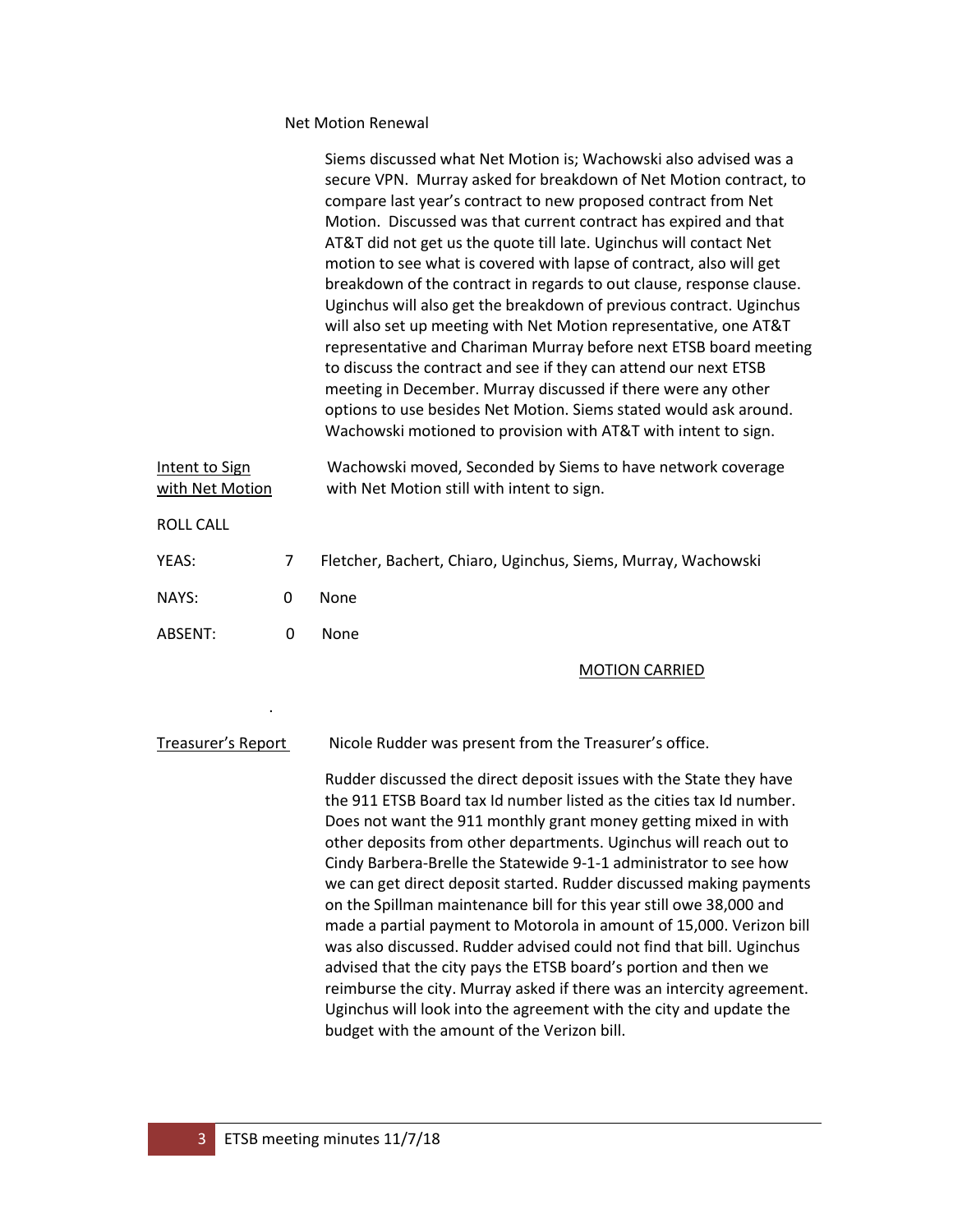#### Net Motion Renewal

|                                   |   | Siems discussed what Net Motion is; Wachowski also advised was a<br>secure VPN. Murray asked for breakdown of Net Motion contract, to<br>compare last year's contract to new proposed contract from Net<br>Motion. Discussed was that current contract has expired and that<br>AT&T did not get us the quote till late. Uginchus will contact Net<br>motion to see what is covered with lapse of contract, also will get<br>breakdown of the contract in regards to out clause, response clause.<br>Uginchus will also get the breakdown of previous contract. Uginchus<br>will also set up meeting with Net Motion representative, one AT&T<br>representative and Chariman Murray before next ETSB board meeting<br>to discuss the contract and see if they can attend our next ETSB<br>meeting in December. Murray discussed if there were any other<br>options to use besides Net Motion. Siems stated would ask around.<br>Wachowski motioned to provision with AT&T with intent to sign. |
|-----------------------------------|---|-----------------------------------------------------------------------------------------------------------------------------------------------------------------------------------------------------------------------------------------------------------------------------------------------------------------------------------------------------------------------------------------------------------------------------------------------------------------------------------------------------------------------------------------------------------------------------------------------------------------------------------------------------------------------------------------------------------------------------------------------------------------------------------------------------------------------------------------------------------------------------------------------------------------------------------------------------------------------------------------------|
| Intent to Sign<br>with Net Motion |   | Wachowski moved, Seconded by Siems to have network coverage<br>with Net Motion still with intent to sign.                                                                                                                                                                                                                                                                                                                                                                                                                                                                                                                                                                                                                                                                                                                                                                                                                                                                                     |
| <b>ROLL CALL</b>                  |   |                                                                                                                                                                                                                                                                                                                                                                                                                                                                                                                                                                                                                                                                                                                                                                                                                                                                                                                                                                                               |
| YEAS:                             | 7 | Fletcher, Bachert, Chiaro, Uginchus, Siems, Murray, Wachowski                                                                                                                                                                                                                                                                                                                                                                                                                                                                                                                                                                                                                                                                                                                                                                                                                                                                                                                                 |
| NAYS:                             | 0 | None                                                                                                                                                                                                                                                                                                                                                                                                                                                                                                                                                                                                                                                                                                                                                                                                                                                                                                                                                                                          |
| ABSENT:                           | 0 | None                                                                                                                                                                                                                                                                                                                                                                                                                                                                                                                                                                                                                                                                                                                                                                                                                                                                                                                                                                                          |
|                                   |   | <b>MOTION CARRIED</b>                                                                                                                                                                                                                                                                                                                                                                                                                                                                                                                                                                                                                                                                                                                                                                                                                                                                                                                                                                         |
|                                   |   |                                                                                                                                                                                                                                                                                                                                                                                                                                                                                                                                                                                                                                                                                                                                                                                                                                                                                                                                                                                               |
| Treasurer's Report                |   | Nicole Rudder was present from the Treasurer's office.                                                                                                                                                                                                                                                                                                                                                                                                                                                                                                                                                                                                                                                                                                                                                                                                                                                                                                                                        |
|                                   |   | Rudder discussed the direct deposit issues with the State they have<br>the 911 ETSB Board tax Id number listed as the cities tax Id number.<br>Does not want the 911 monthly grant money getting mixed in with<br>other deposits from other departments. Uginchus will reach out to<br>Cindy Barbera-Brelle the Statewide 9-1-1 administrator to see how<br>we can get direct deposit started. Rudder discussed making payments<br>on the Spillman maintenance bill for this year still owe 38,000 and<br>made a partial payment to Motorola in amount of 15,000. Verizon bill<br>was also discussed. Rudder advised could not find that bill. Uginchus                                                                                                                                                                                                                                                                                                                                       |

was also discussed. Rudder advised could not find that bill. Uginchus advised that the city pays the ETSB board's portion and then we reimburse the city. Murray asked if there was an intercity agreement. Uginchus will look into the agreement with the city and update the budget with the amount of the Verizon bill.